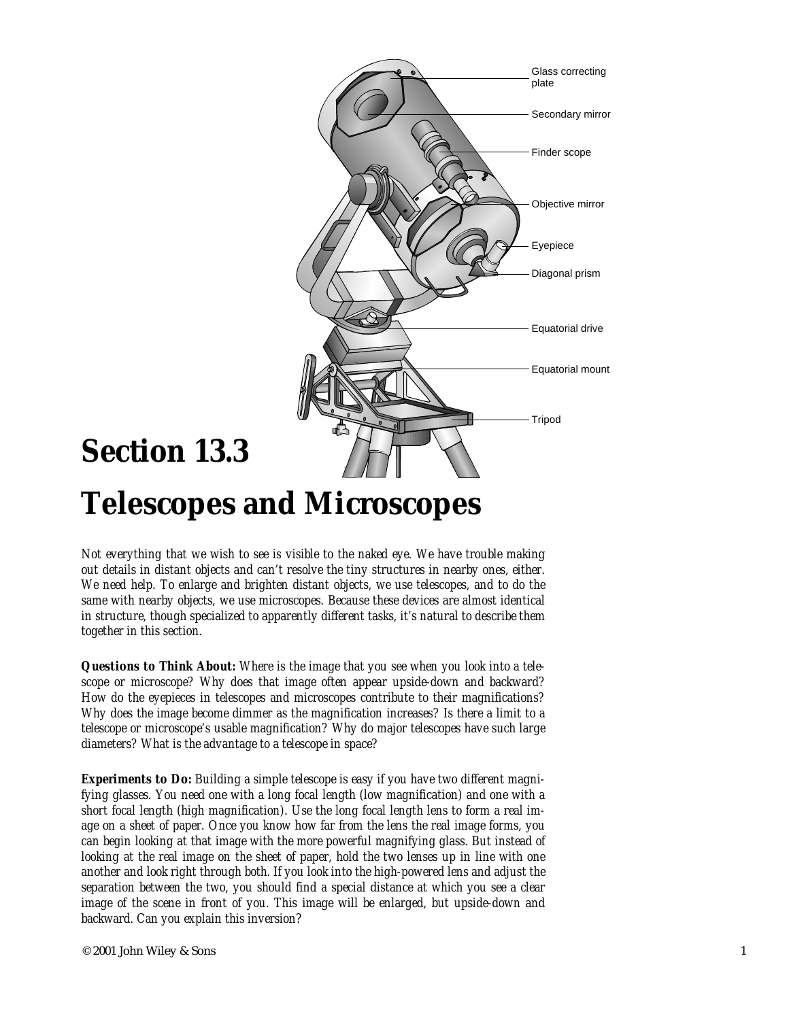

## **Section 13.3**

# **Telescopes and Microscopes**

*Not everything that we wish to see is visible to the naked eye. We have trouble making out details in distant objects and can't resolve the tiny structures in nearby ones, either. We need help. To enlarge and brighten distant objects, we use telescopes, and to do the same with nearby objects, we use microscopes. Because these devices are almost identical in structure, though specialized to apparently different tasks, it's natural to describe them together in this section.* 

*Questions to Think About: Where is the image that you see when you look into a telescope or microscope? Why does that image often appear upside-down and backward? How do the eyepieces in telescopes and microscopes contribute to their magnifications? Why does the image become dimmer as the magnification increases? Is there a limit to a telescope or microscope's usable magnification? Why do major telescopes have such large diameters? What is the advantage to a telescope in space?* 

*Experiments to Do: Building a simple telescope is easy if you have two different magnifying glasses. You need one with a long focal length (low magnification) and one with a short focal length (high magnification). Use the long focal length lens to form a real image on a sheet of paper. Once you know how far from the lens the real image forms, you can begin looking at that image with the more powerful magnifying glass. But instead of looking at the real image on the sheet of paper, hold the two lenses up in line with one another and look right through both. If you look into the high-powered lens and adjust the separation between the two, you should find a special distance at which you see a clear image of the scene in front of you. This image will be enlarged, but upside-down and backward. Can you explain this inversion?*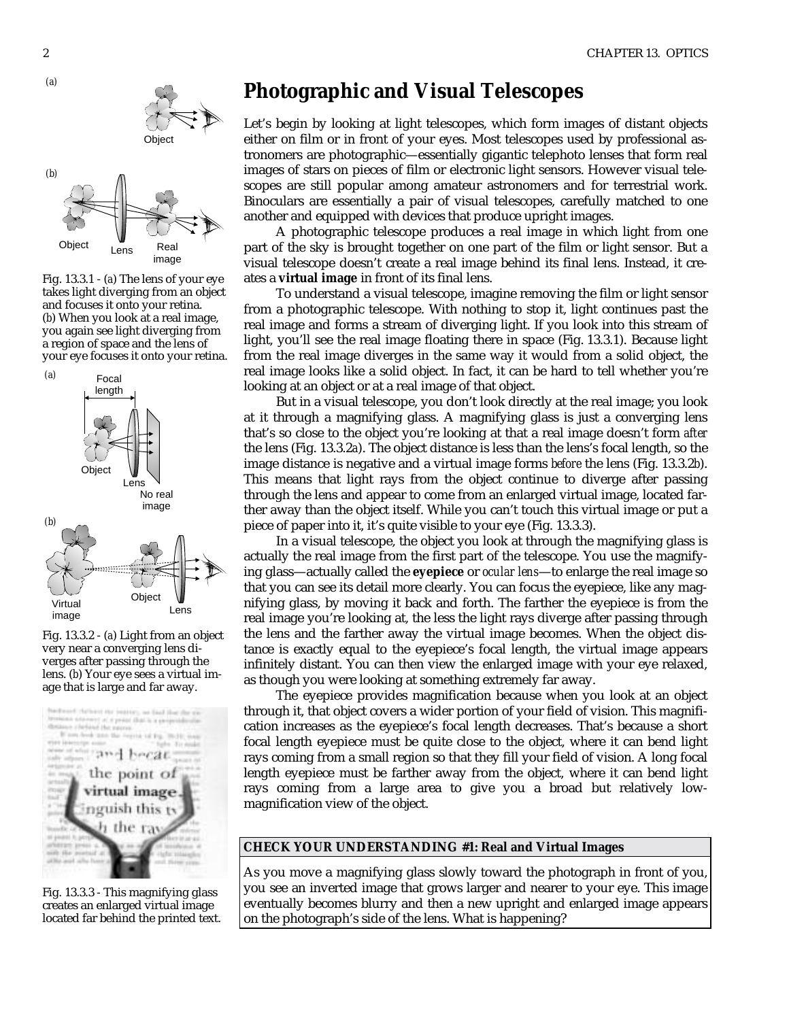

Fig. 13.3.1 - (*a*) The lens of your eye takes light diverging from an object and focuses it onto your retina. (*b*) When you look at a real image, you again see light diverging from a region of space and the lens of your eye focuses it onto your retina.



Fig. 13.3.2 - (*a*) Light from an object very near a converging lens diverges after passing through the lens. (*b*) Your eye sees a virtual image that is large and far away.

been the institute an East Host the answer at a point that is a prop fresh into the regists of Fig. 20-34. and becat the point of virtual image nguish this t

Fig. 13.3.3 - This magnifying glass creates an enlarged virtual image located far behind the printed text.

### **Photographic and Visual Telescopes**

Let's begin by looking at light telescopes, which form images of distant objects either on film or in front of your eyes. Most telescopes used by professional astronomers are photographic—essentially gigantic telephoto lenses that form real images of stars on pieces of film or electronic light sensors. However visual telescopes are still popular among amateur astronomers and for terrestrial work. Binoculars are essentially a pair of visual telescopes, carefully matched to one another and equipped with devices that produce upright images.

A photographic telescope produces a real image in which light from one part of the sky is brought together on one part of the film or light sensor. But a visual telescope doesn't create a real image behind its final lens. Instead, it creates a **virtual image** in front of its final lens.

To understand a visual telescope, imagine removing the film or light sensor from a photographic telescope. With nothing to stop it, light continues past the real image and forms a stream of diverging light. If you look into this stream of light, you'll see the real image floating there in space (Fig. 13.3.1). Because light from the real image diverges in the same way it would from a solid object, the real image looks like a solid object. In fact, it can be hard to tell whether you're looking at an object or at a real image of that object.

But in a visual telescope, you don't look directly at the real image; you look at it through a magnifying glass. A magnifying glass is just a converging lens that's so close to the object you're looking at that a real image doesn't form *after* the lens (Fig. 13.3.2*a*). The object distance is less than the lens's focal length, so the image distance is negative and a virtual image forms *before* the lens (Fig. 13.3.2*b*). This means that light rays from the object continue to diverge after passing through the lens and appear to come from an enlarged virtual image, located farther away than the object itself. While you can't touch this virtual image or put a piece of paper into it, it's quite visible to your eye (Fig. 13.3.3).

In a visual telescope, the object you look at through the magnifying glass is actually the real image from the first part of the telescope. You use the magnifying glass—actually called the **eyepiece** or *ocular lens*—to enlarge the real image so that you can see its detail more clearly. You can focus the eyepiece, like any magnifying glass, by moving it back and forth. The farther the eyepiece is from the real image you're looking at, the less the light rays diverge after passing through the lens and the farther away the virtual image becomes. When the object distance is exactly equal to the eyepiece's focal length, the virtual image appears infinitely distant. You can then view the enlarged image with your eye relaxed, as though you were looking at something extremely far away.

The eyepiece provides magnification because when you look at an object through it, that object covers a wider portion of your field of vision. This magnification increases as the eyepiece's focal length decreases. That's because a short focal length eyepiece must be quite close to the object, where it can bend light rays coming from a small region so that they fill your field of vision. A long focal length eyepiece must be farther away from the object, where it can bend light rays coming from a large area to give you a broad but relatively lowmagnification view of the object.

#### **CHECK YOUR UNDERSTANDING #1: Real and Virtual Images**

As you move a magnifying glass slowly toward the photograph in front of you, you see an inverted image that grows larger and nearer to your eye. This image eventually becomes blurry and then a new upright and enlarged image appears on the photograph's side of the lens. What is happening?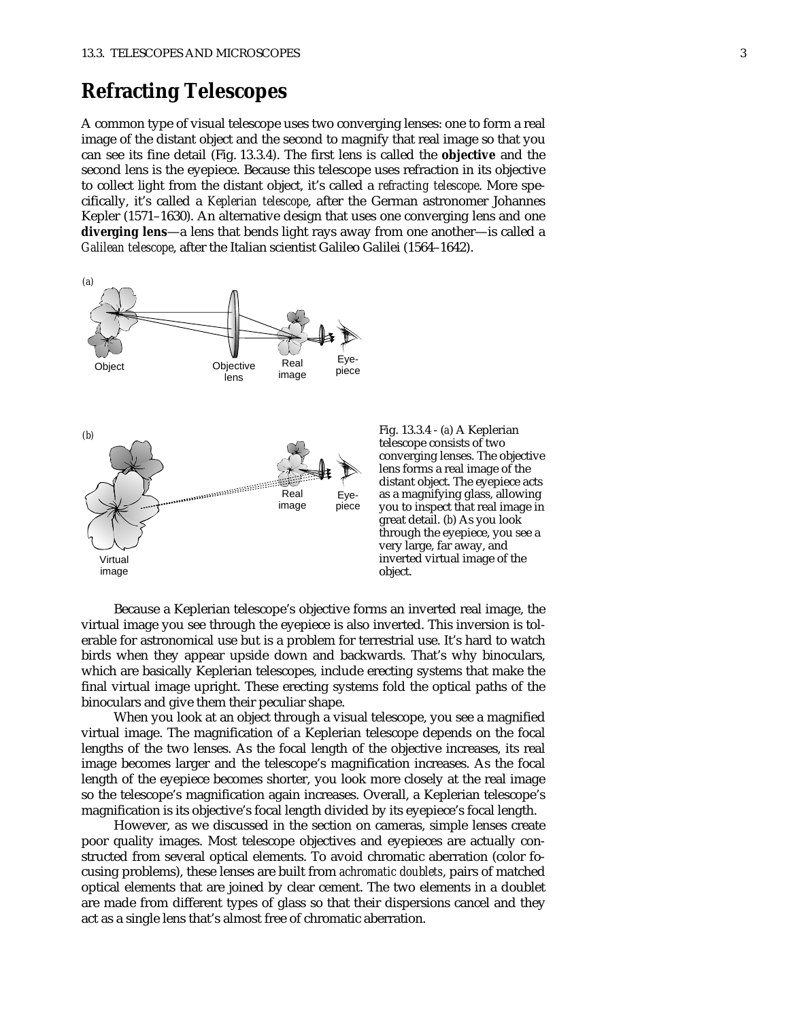## **Refracting Telescopes**

A common type of visual telescope uses two converging lenses: one to form a real image of the distant object and the second to magnify that real image so that you can see its fine detail (Fig. 13.3.4). The first lens is called the **objective** and the second lens is the eyepiece. Because this telescope uses refraction in its objective to collect light from the distant object, it's called a *refracting telescope*. More specifically, it's called a *Keplerian telescope*, after the German astronomer Johannes Kepler (1571–1630). An alternative design that uses one converging lens and one **diverging lens**—a lens that bends light rays away from one another—is called a *Galilean telescope*, after the Italian scientist Galileo Galilei (1564–1642).



Fig. 13.3.4 - (*a*) A Keplerian telescope consists of two converging lenses. The objective lens forms a real image of the distant object. The eyepiece acts as a magnifying glass, allowing you to inspect that real image in great detail. (*b*) As you look through the eyepiece, you see a very large, far away, and inverted virtual image of the object.

Because a Keplerian telescope's objective forms an inverted real image, the virtual image you see through the eyepiece is also inverted. This inversion is tolerable for astronomical use but is a problem for terrestrial use. It's hard to watch birds when they appear upside down and backwards. That's why binoculars, which are basically Keplerian telescopes, include erecting systems that make the final virtual image upright. These erecting systems fold the optical paths of the binoculars and give them their peculiar shape.

When you look at an object through a visual telescope, you see a magnified virtual image. The magnification of a Keplerian telescope depends on the focal lengths of the two lenses. As the focal length of the objective increases, its real image becomes larger and the telescope's magnification increases. As the focal length of the eyepiece becomes shorter, you look more closely at the real image so the telescope's magnification again increases. Overall, a Keplerian telescope's magnification is its objective's focal length divided by its eyepiece's focal length.

However, as we discussed in the section on cameras, simple lenses create poor quality images. Most telescope objectives and eyepieces are actually constructed from several optical elements. To avoid chromatic aberration (color focusing problems), these lenses are built from *achromatic doublets*, pairs of matched optical elements that are joined by clear cement. The two elements in a doublet are made from different types of glass so that their dispersions cancel and they act as a single lens that's almost free of chromatic aberration.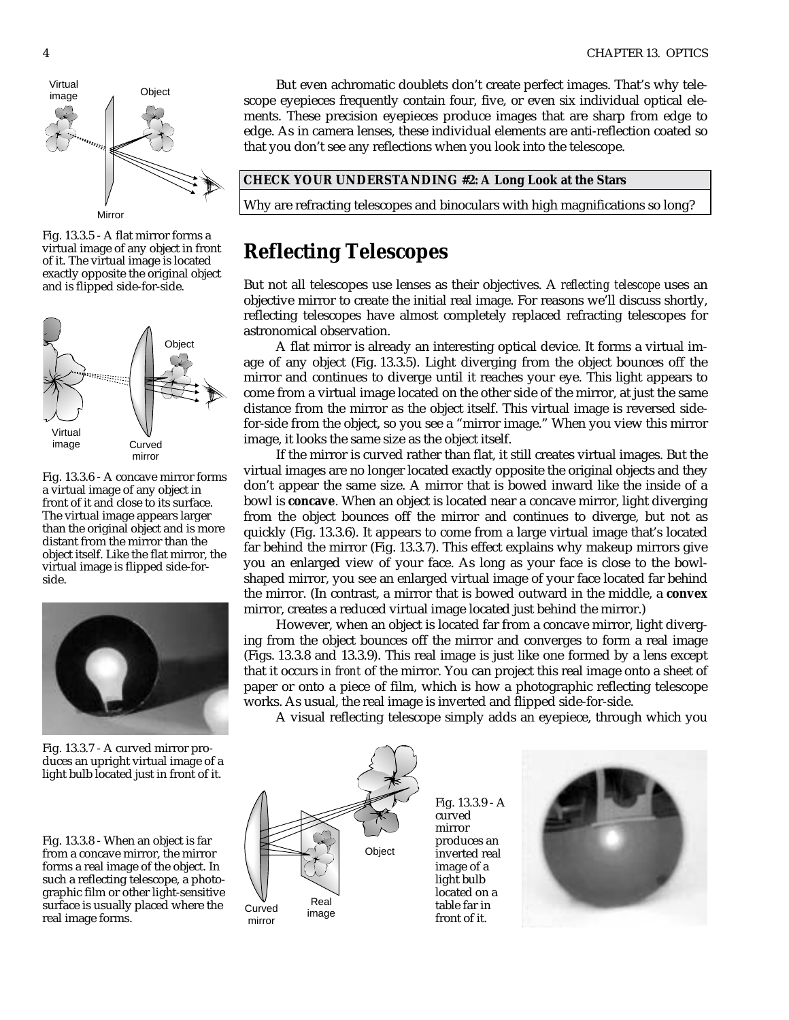

Fig. 13.3.5 - A flat mirror forms a virtual image of any object in front of it. The virtual image is located exactly opposite the original object and is flipped side-for-side.



Fig. 13.3.6 - A concave mirror forms a virtual image of any object in front of it and close to its surface. The virtual image appears larger than the original object and is more distant from the mirror than the object itself. Like the flat mirror, the virtual image is flipped side-forside.



Fig. 13.3.7 - A curved mirror produces an upright virtual image of a light bulb located just in front of it.

Fig. 13.3.8 - When an object is far from a concave mirror, the mirror forms a real image of the object. In such a reflecting telescope, a photographic film or other light-sensitive surface is usually placed where the real image forms.

But even achromatic doublets don't create perfect images. That's why telescope eyepieces frequently contain four, five, or even six individual optical elements. These precision eyepieces produce images that are sharp from edge to edge. As in camera lenses, these individual elements are anti-reflection coated so that you don't see any reflections when you look into the telescope.

#### **CHECK YOUR UNDERSTANDING #2: A Long Look at the Stars**

Why are refracting telescopes and binoculars with high magnifications so long?

## **Reflecting Telescopes**

But not all telescopes use lenses as their objectives. A *reflecting telescope* uses an objective mirror to create the initial real image. For reasons we'll discuss shortly, reflecting telescopes have almost completely replaced refracting telescopes for astronomical observation.

A flat mirror is already an interesting optical device. It forms a virtual image of any object (Fig. 13.3.5). Light diverging from the object bounces off the mirror and continues to diverge until it reaches your eye. This light appears to come from a virtual image located on the other side of the mirror, at just the same distance from the mirror as the object itself. This virtual image is reversed sidefor-side from the object, so you see a "mirror image." When you view this mirror image, it looks the same size as the object itself.

If the mirror is curved rather than flat, it still creates virtual images. But the virtual images are no longer located exactly opposite the original objects and they don't appear the same size. A mirror that is bowed inward like the inside of a bowl is **concave**. When an object is located near a concave mirror, light diverging from the object bounces off the mirror and continues to diverge, but not as quickly (Fig. 13.3.6). It appears to come from a large virtual image that's located far behind the mirror (Fig. 13.3.7). This effect explains why makeup mirrors give you an enlarged view of your face. As long as your face is close to the bowlshaped mirror, you see an enlarged virtual image of your face located far behind the mirror. (In contrast, a mirror that is bowed outward in the middle, a **convex** mirror, creates a reduced virtual image located just behind the mirror.)

However, when an object is located far from a concave mirror, light diverging from the object bounces off the mirror and converges to form a real image (Figs. 13.3.8 and 13.3.9). This real image is just like one formed by a lens except that it occurs *in front* of the mirror. You can project this real image onto a sheet of paper or onto a piece of film, which is how a photographic reflecting telescope works. As usual, the real image is inverted and flipped side-for-side.

A visual reflecting telescope simply adds an eyepiece, through which you

Curved mirror Object Real image

Fig. 13.3.9 - A curved mirror produces an inverted real image of a light bulb located on a table far in front of it.

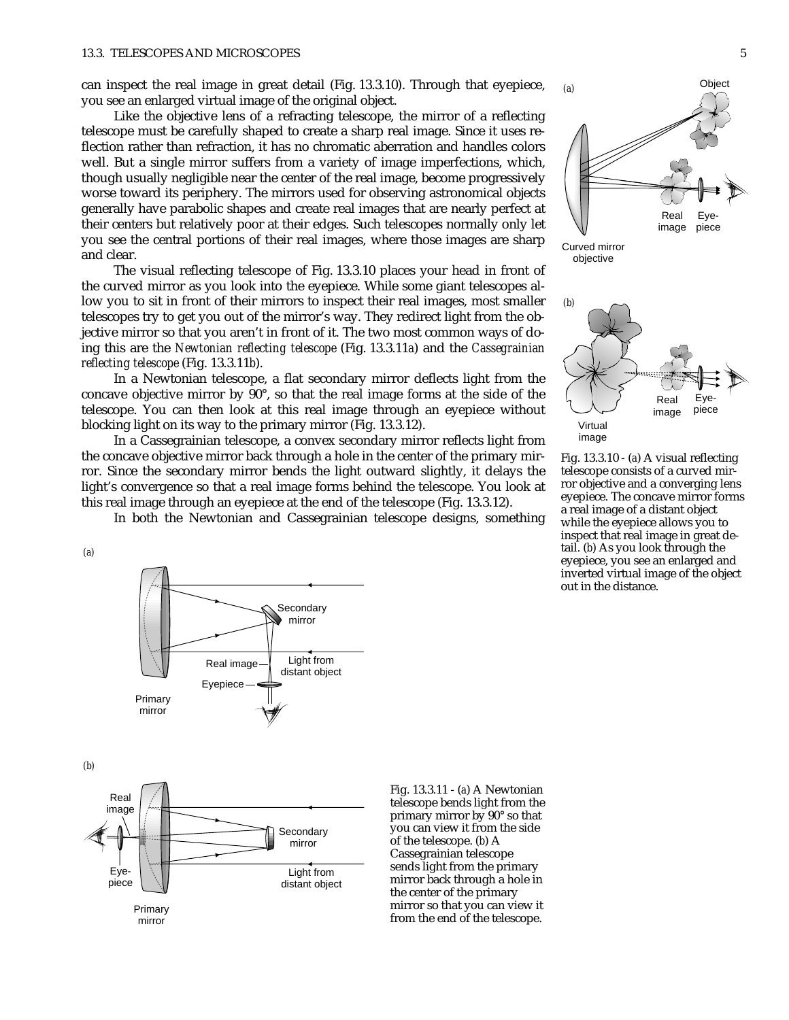can inspect the real image in great detail (Fig. 13.3.10). Through that eyepiece, you see an enlarged virtual image of the original object.

Like the objective lens of a refracting telescope, the mirror of a reflecting telescope must be carefully shaped to create a sharp real image. Since it uses reflection rather than refraction, it has no chromatic aberration and handles colors well. But a single mirror suffers from a variety of image imperfections, which, though usually negligible near the center of the real image, become progressively worse toward its periphery. The mirrors used for observing astronomical objects generally have parabolic shapes and create real images that are nearly perfect at their centers but relatively poor at their edges. Such telescopes normally only let you see the central portions of their real images, where those images are sharp and clear.

The visual reflecting telescope of Fig. 13.3.10 places your head in front of the curved mirror as you look into the eyepiece. While some giant telescopes allow you to sit in front of their mirrors to inspect their real images, most smaller telescopes try to get you out of the mirror's way. They redirect light from the objective mirror so that you aren't in front of it. The two most common ways of doing this are the *Newtonian reflecting telescope* (Fig. 13.3.11*a*) and the *Cassegrainian reflecting telescope* (Fig. 13.3.11*b*).

In a Newtonian telescope, a flat secondary mirror deflects light from the concave objective mirror by 90°, so that the real image forms at the side of the telescope. You can then look at this real image through an eyepiece without blocking light on its way to the primary mirror (Fig. 13.3.12).

In a Cassegrainian telescope, a convex secondary mirror reflects light from the concave objective mirror back through a hole in the center of the primary mirror. Since the secondary mirror bends the light outward slightly, it delays the light's convergence so that a real image forms behind the telescope. You look at this real image through an eyepiece at the end of the telescope (Fig. 13.3.12).

In both the Newtonian and Cassegrainian telescope designs, something





Fig. 13.3.11 - (*a*) A Newtonian telescope bends light from the primary mirror by 90° so that you can view it from the side of the telescope. (*b*) A Cassegrainian telescope sends light from the primary mirror back through a hole in the center of the primary mirror so that you can view it from the end of the telescope.



Fig. 13.3.10 - (*a*) A visual reflecting telescope consists of a curved mirror objective and a converging lens eyepiece. The concave mirror forms a real image of a distant object while the eyepiece allows you to inspect that real image in great detail. (*b*) As you look through the eyepiece, you see an enlarged and inverted virtual image of the object out in the distance.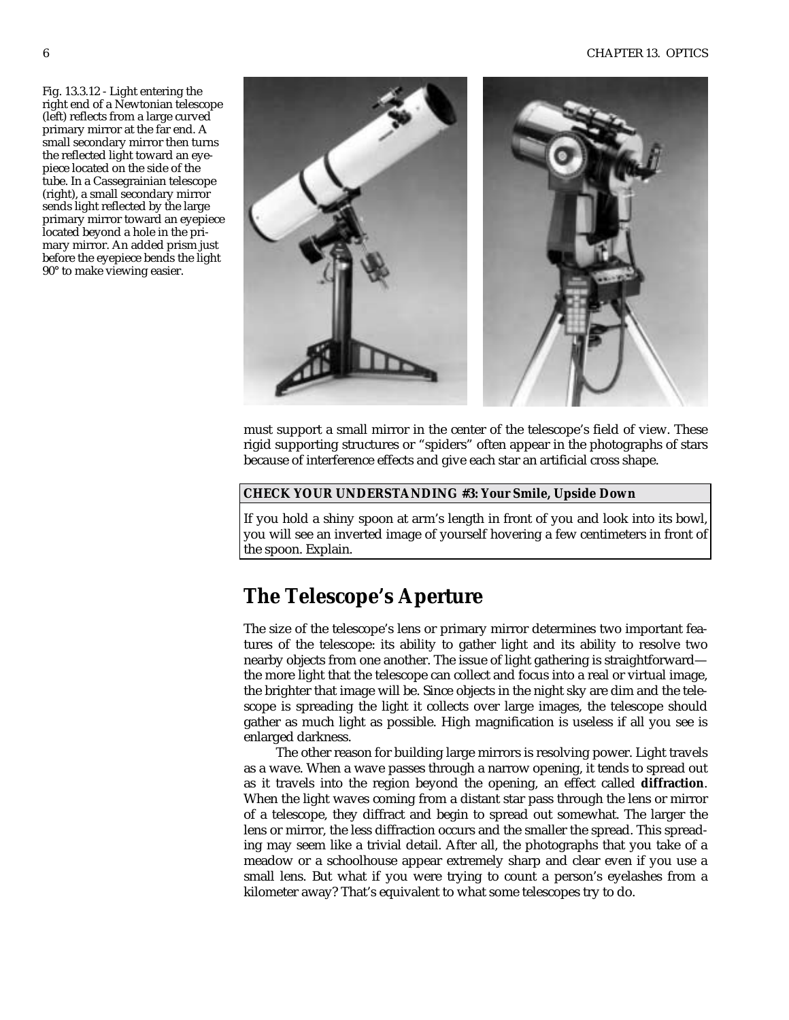Fig. 13.3.12 - Light entering the right end of a Newtonian telescope (left) reflects from a large curved primary mirror at the far end. A small secondary mirror then turns the reflected light toward an eyepiece located on the side of the tube. In a Cassegrainian telescope (right), a small secondary mirror sends light reflected by the large primary mirror toward an eyepiece located beyond a hole in the primary mirror. An added prism just before the eyepiece bends the light 90° to make viewing easier.



must support a small mirror in the center of the telescope's field of view. These rigid supporting structures or "spiders" often appear in the photographs of stars because of interference effects and give each star an artificial cross shape.

#### **CHECK YOUR UNDERSTANDING #3: Your Smile, Upside Down**

If you hold a shiny spoon at arm's length in front of you and look into its bowl, you will see an inverted image of yourself hovering a few centimeters in front of the spoon. Explain.

## **The Telescope's Aperture**

The size of the telescope's lens or primary mirror determines two important features of the telescope: its ability to gather light and its ability to resolve two nearby objects from one another. The issue of light gathering is straightforward the more light that the telescope can collect and focus into a real or virtual image, the brighter that image will be. Since objects in the night sky are dim and the telescope is spreading the light it collects over large images, the telescope should gather as much light as possible. High magnification is useless if all you see is enlarged darkness.

The other reason for building large mirrors is resolving power. Light travels as a wave. When a wave passes through a narrow opening, it tends to spread out as it travels into the region beyond the opening, an effect called **diffraction**. When the light waves coming from a distant star pass through the lens or mirror of a telescope, they diffract and begin to spread out somewhat. The larger the lens or mirror, the less diffraction occurs and the smaller the spread. This spreading may seem like a trivial detail. After all, the photographs that you take of a meadow or a schoolhouse appear extremely sharp and clear even if you use a small lens. But what if you were trying to count a person's eyelashes from a kilometer away? That's equivalent to what some telescopes try to do.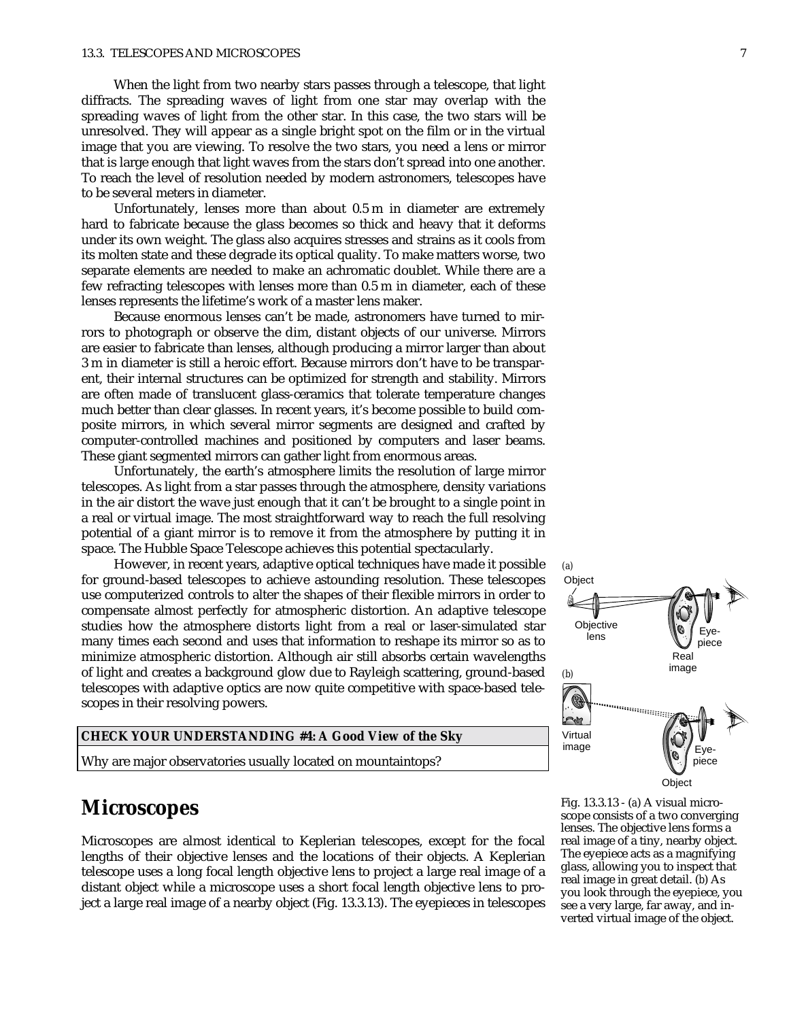When the light from two nearby stars passes through a telescope, that light diffracts. The spreading waves of light from one star may overlap with the spreading waves of light from the other star. In this case, the two stars will be unresolved. They will appear as a single bright spot on the film or in the virtual image that you are viewing. To resolve the two stars, you need a lens or mirror that is large enough that light waves from the stars don't spread into one another. To reach the level of resolution needed by modern astronomers, telescopes have to be several meters in diameter.

Unfortunately, lenses more than about 0.5 m in diameter are extremely hard to fabricate because the glass becomes so thick and heavy that it deforms under its own weight. The glass also acquires stresses and strains as it cools from its molten state and these degrade its optical quality. To make matters worse, two separate elements are needed to make an achromatic doublet. While there are a few refracting telescopes with lenses more than 0.5 m in diameter, each of these lenses represents the lifetime's work of a master lens maker.

Because enormous lenses can't be made, astronomers have turned to mirrors to photograph or observe the dim, distant objects of our universe. Mirrors are easier to fabricate than lenses, although producing a mirror larger than about 3 m in diameter is still a heroic effort. Because mirrors don't have to be transparent, their internal structures can be optimized for strength and stability. Mirrors are often made of translucent glass-ceramics that tolerate temperature changes much better than clear glasses. In recent years, it's become possible to build composite mirrors, in which several mirror segments are designed and crafted by computer-controlled machines and positioned by computers and laser beams. These giant segmented mirrors can gather light from enormous areas.

Unfortunately, the earth's atmosphere limits the resolution of large mirror telescopes. As light from a star passes through the atmosphere, density variations in the air distort the wave just enough that it can't be brought to a single point in a real or virtual image. The most straightforward way to reach the full resolving potential of a giant mirror is to remove it from the atmosphere by putting it in space. The Hubble Space Telescope achieves this potential spectacularly.

However, in recent years, adaptive optical techniques have made it possible for ground-based telescopes to achieve astounding resolution. These telescopes use computerized controls to alter the shapes of their flexible mirrors in order to compensate almost perfectly for atmospheric distortion. An adaptive telescope studies how the atmosphere distorts light from a real or laser-simulated star many times each second and uses that information to reshape its mirror so as to minimize atmospheric distortion. Although air still absorbs certain wavelengths of light and creates a background glow due to Rayleigh scattering, ground-based telescopes with adaptive optics are now quite competitive with space-based telescopes in their resolving powers.

#### **CHECK YOUR UNDERSTANDING #4: A Good View of the Sky**

Why are major observatories usually located on mountaintops?

## **Microscopes**

Microscopes are almost identical to Keplerian telescopes, except for the focal lengths of their objective lenses and the locations of their objects. A Keplerian telescope uses a long focal length objective lens to project a large real image of a distant object while a microscope uses a short focal length objective lens to project a large real image of a nearby object (Fig. 13.3.13). The eyepieces in telescopes

Fig. 13.3.13 - (*a*) A visual microscope consists of a two converging lenses. The objective lens forms a real image of a tiny, nearby object. The eyepiece acts as a magnifying glass, allowing you to inspect that real image in great detail. (*b*) As you look through the eyepiece, you see a very large, far away, and inverted virtual image of the object.

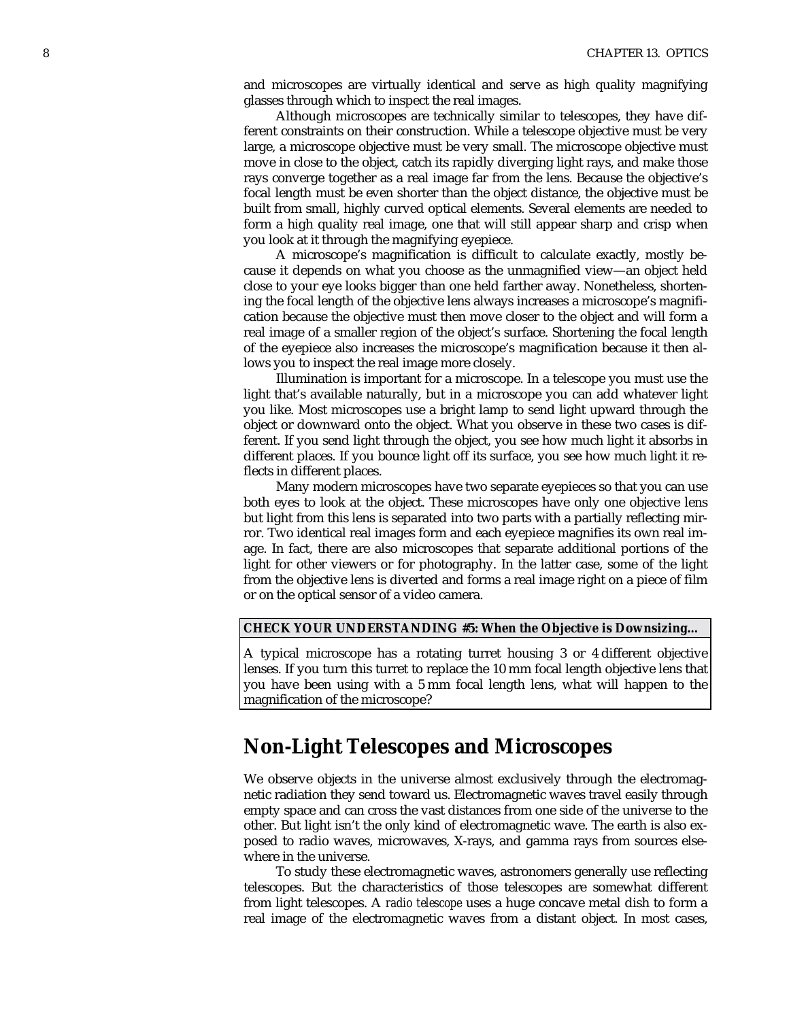and microscopes are virtually identical and serve as high quality magnifying glasses through which to inspect the real images.

Although microscopes are technically similar to telescopes, they have different constraints on their construction. While a telescope objective must be very large, a microscope objective must be very small. The microscope objective must move in close to the object, catch its rapidly diverging light rays, and make those rays converge together as a real image far from the lens. Because the objective's focal length must be even shorter than the object distance, the objective must be built from small, highly curved optical elements. Several elements are needed to form a high quality real image, one that will still appear sharp and crisp when you look at it through the magnifying eyepiece.

A microscope's magnification is difficult to calculate exactly, mostly because it depends on what you choose as the unmagnified view—an object held close to your eye looks bigger than one held farther away. Nonetheless, shortening the focal length of the objective lens always increases a microscope's magnification because the objective must then move closer to the object and will form a real image of a smaller region of the object's surface. Shortening the focal length of the eyepiece also increases the microscope's magnification because it then allows you to inspect the real image more closely.

Illumination is important for a microscope. In a telescope you must use the light that's available naturally, but in a microscope you can add whatever light you like. Most microscopes use a bright lamp to send light upward through the object or downward onto the object. What you observe in these two cases is different. If you send light through the object, you see how much light it absorbs in different places. If you bounce light off its surface, you see how much light it reflects in different places.

Many modern microscopes have two separate eyepieces so that you can use both eyes to look at the object. These microscopes have only one objective lens but light from this lens is separated into two parts with a partially reflecting mirror. Two identical real images form and each eyepiece magnifies its own real image. In fact, there are also microscopes that separate additional portions of the light for other viewers or for photography. In the latter case, some of the light from the objective lens is diverted and forms a real image right on a piece of film or on the optical sensor of a video camera.

#### **CHECK YOUR UNDERSTANDING #5: When the Objective is Downsizing…**

A typical microscope has a rotating turret housing 3 or 4 different objective lenses. If you turn this turret to replace the 10 mm focal length objective lens that you have been using with a 5 mm focal length lens, what will happen to the magnification of the microscope?

## **Non-Light Telescopes and Microscopes**

We observe objects in the universe almost exclusively through the electromagnetic radiation they send toward us. Electromagnetic waves travel easily through empty space and can cross the vast distances from one side of the universe to the other. But light isn't the only kind of electromagnetic wave. The earth is also exposed to radio waves, microwaves, X-rays, and gamma rays from sources elsewhere in the universe.

To study these electromagnetic waves, astronomers generally use reflecting telescopes. But the characteristics of those telescopes are somewhat different from light telescopes. A *radio telescope* uses a huge concave metal dish to form a real image of the electromagnetic waves from a distant object. In most cases,